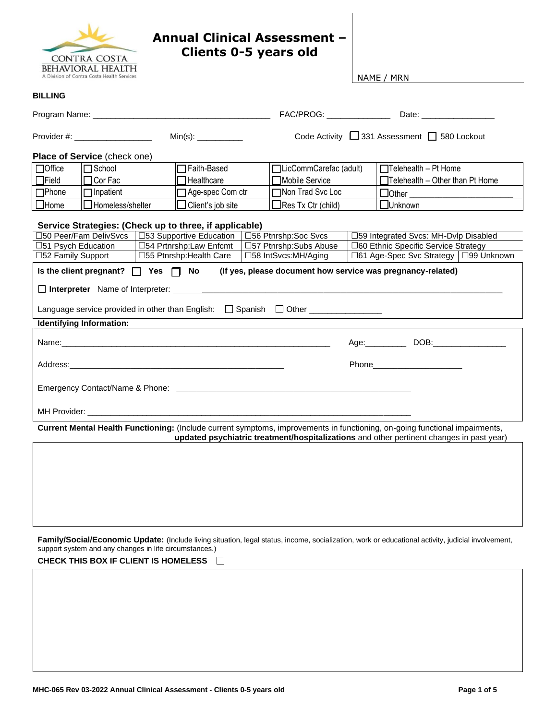

**BILLING** 

## **Annual Clinical Assessment – Clients 0-5 years old**

NAME / MRN

|                     | Provider #: ____________________             |                                                        |                                                                                             | Code Activity □ 331 Assessment □ 580 Lockout                                                                                                                                                                            |  |
|---------------------|----------------------------------------------|--------------------------------------------------------|---------------------------------------------------------------------------------------------|-------------------------------------------------------------------------------------------------------------------------------------------------------------------------------------------------------------------------|--|
|                     | Place of Service (check one)                 |                                                        |                                                                                             |                                                                                                                                                                                                                         |  |
| <b>TOffice</b>      | $\Box$ School                                | □ Faith-Based                                          | □LicCommCarefac (adult)                                                                     | $\Box$ Telehealth - Pt Home                                                                                                                                                                                             |  |
| $\Box$ Field        | $\Box$ Cor Fac                               | $\Box$ Healthcare                                      | □Mobile Service                                                                             | $\Box$ Telehealth - Other than Pt Home                                                                                                                                                                                  |  |
| $\Box$ Phone        | $\Box$ Inpatient                             | □ Age-spec Com ctr                                     | Non Trad Svc Loc                                                                            | $\Box$ Other                                                                                                                                                                                                            |  |
| $\square$ Home      | $\Box$ Homeless/shelter                      | $\Box$ Client's job site                               | $\Box$ Res Tx Ctr (child)                                                                   | □Unknown                                                                                                                                                                                                                |  |
|                     |                                              | Service Strategies: (Check up to three, if applicable) |                                                                                             |                                                                                                                                                                                                                         |  |
|                     | 50 Peer/Fam DelivSvcs                        | □53 Supportive Education   □56 Ptnrshp:Soc Svcs        |                                                                                             | □59 Integrated Svcs: MH-Dvlp Disabled                                                                                                                                                                                   |  |
| □51 Psych Education |                                              | □54 Prtnrshp:Law Enfcmt                                | □57 Ptnrshp:Subs Abuse                                                                      | □60 Ethnic Specific Service Strategy                                                                                                                                                                                    |  |
| □52 Family Support  |                                              | □55 Ptnrshp: Health Care                               | □58 IntSvcs:MH/Aging                                                                        | □61 Age-Spec Svc Strategy   □99 Unknown                                                                                                                                                                                 |  |
|                     | Is the client pregnant? $\Box$ Yes $\Box$ No |                                                        |                                                                                             | (If yes, please document how service was pregnancy-related)                                                                                                                                                             |  |
|                     |                                              |                                                        |                                                                                             |                                                                                                                                                                                                                         |  |
|                     |                                              |                                                        | Language service provided in other than English: $\Box$ Spanish $\Box$ Other ______________ |                                                                                                                                                                                                                         |  |
|                     | <b>Identifying Information:</b>              |                                                        |                                                                                             |                                                                                                                                                                                                                         |  |
|                     |                                              |                                                        |                                                                                             | Age: DOB: DOB:                                                                                                                                                                                                          |  |
|                     |                                              |                                                        |                                                                                             |                                                                                                                                                                                                                         |  |
|                     |                                              |                                                        |                                                                                             |                                                                                                                                                                                                                         |  |
|                     |                                              |                                                        |                                                                                             |                                                                                                                                                                                                                         |  |
|                     |                                              |                                                        |                                                                                             | Current Mental Health Functioning: (Include current symptoms, improvements in functioning, on-going functional impairments,<br>updated psychiatric treatment/hospitalizations and other pertinent changes in past year) |  |
|                     |                                              |                                                        |                                                                                             |                                                                                                                                                                                                                         |  |
|                     |                                              |                                                        |                                                                                             |                                                                                                                                                                                                                         |  |
|                     |                                              |                                                        |                                                                                             |                                                                                                                                                                                                                         |  |
|                     |                                              |                                                        |                                                                                             |                                                                                                                                                                                                                         |  |
|                     |                                              |                                                        |                                                                                             |                                                                                                                                                                                                                         |  |
|                     |                                              |                                                        |                                                                                             |                                                                                                                                                                                                                         |  |
|                     |                                              |                                                        |                                                                                             |                                                                                                                                                                                                                         |  |
|                     |                                              |                                                        |                                                                                             |                                                                                                                                                                                                                         |  |

Family/Social/Economic Update: (Include living situation, legal status, income, socialization, work or educational activity, judicial involvement, support system and any changes in life circumstances.)

**CHECK THIS BOX IF CLIENT IS HOMELESS**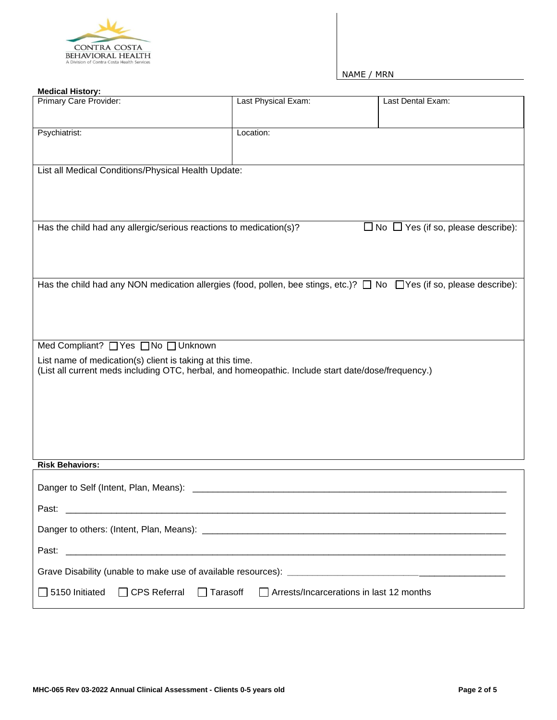

| <b>Medical History:</b>                                                                                                         |                     |                                                |
|---------------------------------------------------------------------------------------------------------------------------------|---------------------|------------------------------------------------|
| Primary Care Provider:                                                                                                          | Last Physical Exam: | Last Dental Exam:                              |
| Psychiatrist:                                                                                                                   | Location:           |                                                |
| List all Medical Conditions/Physical Health Update:                                                                             |                     |                                                |
|                                                                                                                                 |                     |                                                |
|                                                                                                                                 |                     |                                                |
| Has the child had any allergic/serious reactions to medication(s)?                                                              |                     | $\Box$ No $\Box$ Yes (if so, please describe): |
|                                                                                                                                 |                     |                                                |
| Has the child had any NON medication allergies (food, pollen, bee stings, etc.)? $\Box$ No $\Box$ Yes (if so, please describe): |                     |                                                |
|                                                                                                                                 |                     |                                                |
|                                                                                                                                 |                     |                                                |
| Med Compliant? □ Yes □ No □ Unknown                                                                                             |                     |                                                |
| List name of medication(s) client is taking at this time.                                                                       |                     |                                                |
| (List all current meds including OTC, herbal, and homeopathic. Include start date/dose/frequency.)                              |                     |                                                |
|                                                                                                                                 |                     |                                                |
|                                                                                                                                 |                     |                                                |
|                                                                                                                                 |                     |                                                |
| <b>Risk Behaviors:</b>                                                                                                          |                     |                                                |
| Danger to Self (Intent, Plan, Means):                                                                                           |                     |                                                |
| Past:                                                                                                                           |                     |                                                |
|                                                                                                                                 |                     |                                                |
| Past:                                                                                                                           |                     |                                                |
|                                                                                                                                 |                     |                                                |
| □ 5150 Initiated □ CPS Referral □ Tarasoff □ Arrests/Incarcerations in last 12 months                                           |                     |                                                |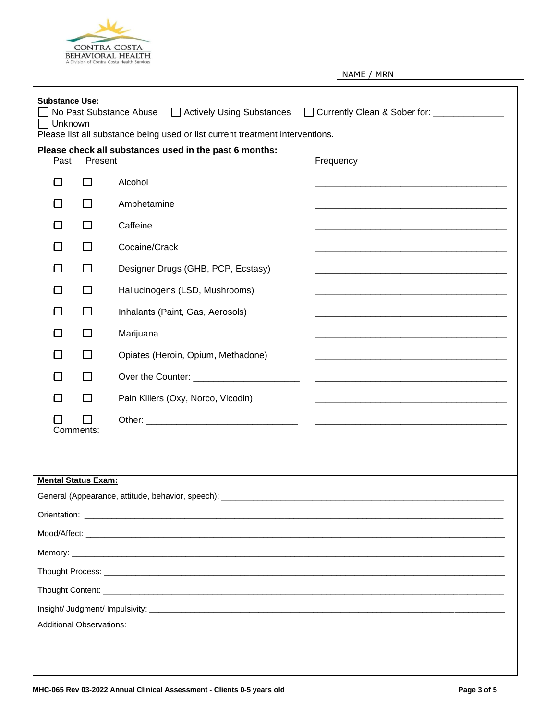

| <b>Substance Use:</b>           |           |                                                                                                                                                                                                                               |  |
|---------------------------------|-----------|-------------------------------------------------------------------------------------------------------------------------------------------------------------------------------------------------------------------------------|--|
| Unknown                         |           | Actively Using Substances<br>Currently Clean & Sober for: _____________<br>No Past Substance Abuse<br>$\perp$<br>Please list all substance being used or list current treatment interventions.                                |  |
| Past                            | Present   | Please check all substances used in the past 6 months:<br>Frequency                                                                                                                                                           |  |
| $\Box$                          | $\Box$    | Alcohol                                                                                                                                                                                                                       |  |
| П                               | $\perp$   | Amphetamine                                                                                                                                                                                                                   |  |
| $\Box$                          | П         | Caffeine                                                                                                                                                                                                                      |  |
| $\Box$                          | П         | Cocaine/Crack                                                                                                                                                                                                                 |  |
| □                               | $\Box$    | Designer Drugs (GHB, PCP, Ecstasy)                                                                                                                                                                                            |  |
| $\Box$                          | $\Box$    | Hallucinogens (LSD, Mushrooms)                                                                                                                                                                                                |  |
| □                               | $\Box$    | Inhalants (Paint, Gas, Aerosols)                                                                                                                                                                                              |  |
| □                               | П         | Marijuana                                                                                                                                                                                                                     |  |
| $\Box$                          | П         | Opiates (Heroin, Opium, Methadone)                                                                                                                                                                                            |  |
| $\Box$                          | $\Box$    | Over the Counter: _______________________                                                                                                                                                                                     |  |
| П                               | П         | Pain Killers (Oxy, Norco, Vicodin)                                                                                                                                                                                            |  |
|                                 |           |                                                                                                                                                                                                                               |  |
|                                 | Comments: |                                                                                                                                                                                                                               |  |
|                                 |           |                                                                                                                                                                                                                               |  |
| <b>Mental Status Exam:</b>      |           |                                                                                                                                                                                                                               |  |
|                                 |           | General (Appearance, attitude, behavior, speech):                                                                                                                                                                             |  |
|                                 |           |                                                                                                                                                                                                                               |  |
|                                 |           | Mood/Affect: Note that the state of the state of the state of the state of the state of the state of the state of the state of the state of the state of the state of the state of the state of the state of the state of the |  |
|                                 |           |                                                                                                                                                                                                                               |  |
|                                 |           |                                                                                                                                                                                                                               |  |
|                                 |           |                                                                                                                                                                                                                               |  |
|                                 |           |                                                                                                                                                                                                                               |  |
| <b>Additional Observations:</b> |           |                                                                                                                                                                                                                               |  |
|                                 |           |                                                                                                                                                                                                                               |  |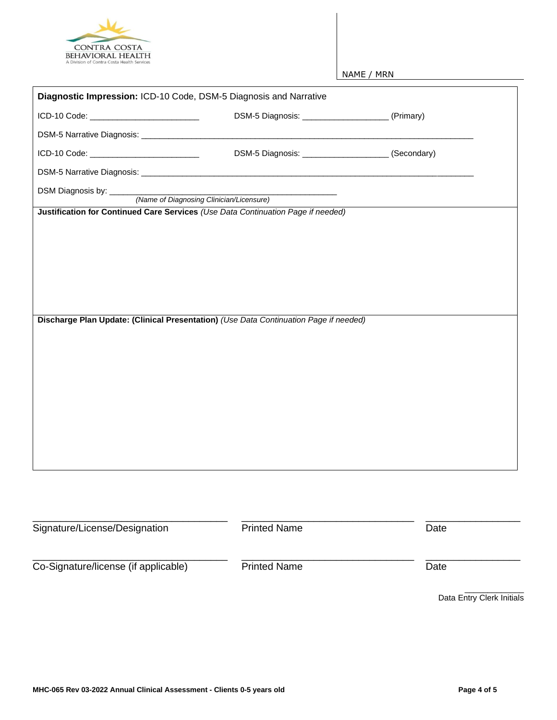

| ICD-10 Code: ______________________________                                           | DSM-5 Diagnosis: _______________________(Primary)    |      |
|---------------------------------------------------------------------------------------|------------------------------------------------------|------|
|                                                                                       |                                                      |      |
| ICD-10 Code: _____________________________                                            | DSM-5 Diagnosis: ________________________(Secondary) |      |
|                                                                                       |                                                      |      |
|                                                                                       |                                                      |      |
| Justification for Continued Care Services (Use Data Continuation Page if needed)      |                                                      |      |
|                                                                                       |                                                      |      |
|                                                                                       |                                                      |      |
|                                                                                       |                                                      |      |
|                                                                                       |                                                      |      |
|                                                                                       |                                                      |      |
|                                                                                       |                                                      |      |
|                                                                                       |                                                      |      |
|                                                                                       |                                                      |      |
|                                                                                       |                                                      |      |
| Discharge Plan Update: (Clinical Presentation) (Use Data Continuation Page if needed) |                                                      |      |
|                                                                                       |                                                      |      |
|                                                                                       |                                                      |      |
|                                                                                       |                                                      |      |
|                                                                                       |                                                      |      |
|                                                                                       |                                                      |      |
|                                                                                       |                                                      |      |
|                                                                                       |                                                      |      |
|                                                                                       |                                                      |      |
|                                                                                       |                                                      |      |
|                                                                                       |                                                      |      |
|                                                                                       |                                                      |      |
|                                                                                       |                                                      |      |
|                                                                                       |                                                      |      |
|                                                                                       |                                                      |      |
|                                                                                       | <b>Printed Name</b>                                  |      |
| Signature/License/Designation                                                         |                                                      | Date |
|                                                                                       |                                                      |      |
| Co-Signature/license (if applicable)                                                  | <b>Printed Name</b>                                  | Date |